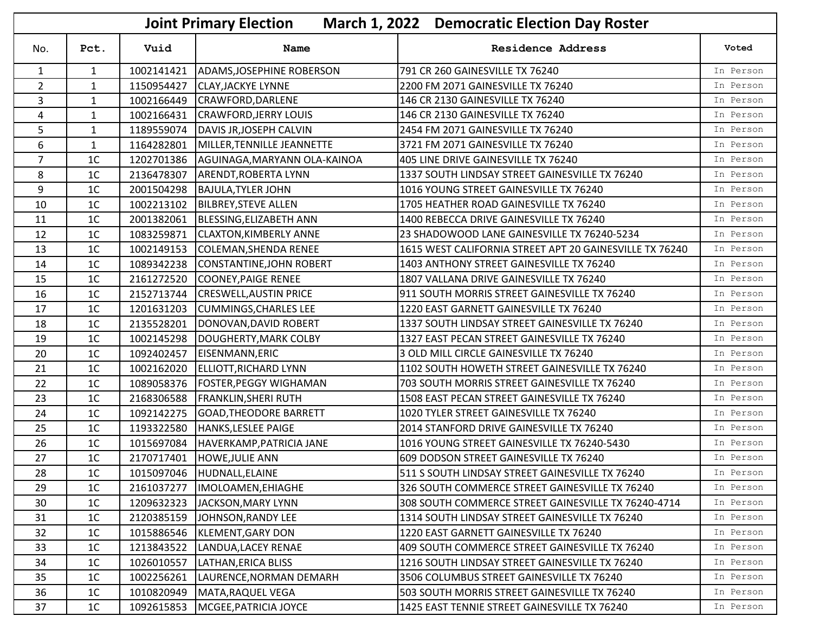|                | <b>March 1, 2022 Democratic Election Day Roster</b><br><b>Joint Primary Election</b> |            |                               |                                                         |           |  |
|----------------|--------------------------------------------------------------------------------------|------------|-------------------------------|---------------------------------------------------------|-----------|--|
| No.            | Pct.                                                                                 | Vuid       | <b>Name</b>                   | <b>Residence Address</b>                                | Voted     |  |
| $\mathbf{1}$   | 1                                                                                    | 1002141421 | ADAMS, JOSEPHINE ROBERSON     | 791 CR 260 GAINESVILLE TX 76240                         | In Person |  |
| $\overline{2}$ | $\mathbf{1}$                                                                         | 1150954427 | <b>CLAY, JACKYE LYNNE</b>     | 2200 FM 2071 GAINESVILLE TX 76240                       | In Person |  |
| 3              | $\mathbf{1}$                                                                         | 1002166449 | CRAWFORD, DARLENE             | 146 CR 2130 GAINESVILLE TX 76240                        | In Person |  |
| 4              | $\mathbf{1}$                                                                         | 1002166431 | <b>CRAWFORD, JERRY LOUIS</b>  | 146 CR 2130 GAINESVILLE TX 76240                        | In Person |  |
| 5              | $\mathbf{1}$                                                                         | 1189559074 | DAVIS JR, JOSEPH CALVIN       | 2454 FM 2071 GAINESVILLE TX 76240                       | In Person |  |
| 6              | $\mathbf{1}$                                                                         | 1164282801 | MILLER, TENNILLE JEANNETTE    | 3721 FM 2071 GAINESVILLE TX 76240                       | In Person |  |
| $\overline{7}$ | 1 <sup>C</sup>                                                                       | 1202701386 | AGUINAGA, MARYANN OLA-KAINOA  | 405 LINE DRIVE GAINESVILLE TX 76240                     | In Person |  |
| 8              | 1 <sup>C</sup>                                                                       | 2136478307 | <b>ARENDT, ROBERTA LYNN</b>   | 1337 SOUTH LINDSAY STREET GAINESVILLE TX 76240          | In Person |  |
| 9              | 1 <sup>C</sup>                                                                       | 2001504298 | <b>BAJULA, TYLER JOHN</b>     | 1016 YOUNG STREET GAINESVILLE TX 76240                  | In Person |  |
| 10             | 1 <sup>C</sup>                                                                       | 1002213102 | <b>BILBREY, STEVE ALLEN</b>   | 1705 HEATHER ROAD GAINESVILLE TX 76240                  | In Person |  |
| 11             | 1 <sup>C</sup>                                                                       | 2001382061 | BLESSING, ELIZABETH ANN       | 1400 REBECCA DRIVE GAINESVILLE TX 76240                 | In Person |  |
| 12             | 1 <sup>C</sup>                                                                       | 1083259871 | <b>CLAXTON, KIMBERLY ANNE</b> | 23 SHADOWOOD LANE GAINESVILLE TX 76240-5234             | In Person |  |
| 13             | 1 <sup>C</sup>                                                                       | 1002149153 | COLEMAN, SHENDA RENEE         | 1615 WEST CALIFORNIA STREET APT 20 GAINESVILLE TX 76240 | In Person |  |
| 14             | 1 <sup>C</sup>                                                                       | 1089342238 | CONSTANTINE, JOHN ROBERT      | 1403 ANTHONY STREET GAINESVILLE TX 76240                | In Person |  |
| 15             | 1 <sup>C</sup>                                                                       | 2161272520 | COONEY, PAIGE RENEE           | 1807 VALLANA DRIVE GAINESVILLE TX 76240                 | In Person |  |
| 16             | 1 <sup>C</sup>                                                                       | 2152713744 | <b>CRESWELL, AUSTIN PRICE</b> | 911 SOUTH MORRIS STREET GAINESVILLE TX 76240            | In Person |  |
| 17             | 1 <sup>C</sup>                                                                       | 1201631203 | <b>CUMMINGS, CHARLES LEE</b>  | 1220 EAST GARNETT GAINESVILLE TX 76240                  | In Person |  |
| 18             | 1 <sup>C</sup>                                                                       | 2135528201 | DONOVAN, DAVID ROBERT         | 1337 SOUTH LINDSAY STREET GAINESVILLE TX 76240          | In Person |  |
| 19             | 1 <sup>C</sup>                                                                       | 1002145298 | DOUGHERTY, MARK COLBY         | 1327 EAST PECAN STREET GAINESVILLE TX 76240             | In Person |  |
| 20             | 1 <sup>C</sup>                                                                       | 1092402457 | EISENMANN, ERIC               | 3 OLD MILL CIRCLE GAINESVILLE TX 76240                  | In Person |  |
| 21             | 1 <sup>C</sup>                                                                       | 1002162020 | <b>ELLIOTT, RICHARD LYNN</b>  | 1102 SOUTH HOWETH STREET GAINESVILLE TX 76240           | In Person |  |
| 22             | 1 <sup>C</sup>                                                                       | 1089058376 | <b>FOSTER, PEGGY WIGHAMAN</b> | 703 SOUTH MORRIS STREET GAINESVILLE TX 76240            | In Person |  |
| 23             | 1 <sup>C</sup>                                                                       | 2168306588 | <b>FRANKLIN, SHERI RUTH</b>   | 1508 EAST PECAN STREET GAINESVILLE TX 76240             | In Person |  |
| 24             | 1 <sup>C</sup>                                                                       | 1092142275 | <b>GOAD, THEODORE BARRETT</b> | 1020 TYLER STREET GAINESVILLE TX 76240                  | In Person |  |
| 25             | 1 <sup>C</sup>                                                                       | 1193322580 | HANKS, LESLEE PAIGE           | 2014 STANFORD DRIVE GAINESVILLE TX 76240                | In Person |  |
| 26             | 1 <sup>C</sup>                                                                       | 1015697084 | HAVERKAMP, PATRICIA JANE      | 1016 YOUNG STREET GAINESVILLE TX 76240-5430             | In Person |  |
| 27             | 1 <sup>C</sup>                                                                       | 2170717401 | <b>HOWE, JULIE ANN</b>        | 609 DODSON STREET GAINESVILLE TX 76240                  | In Person |  |
| 28             | $1C$                                                                                 |            | 1015097046 HUDNALL, ELAINE    | 511 S SOUTH LINDSAY STREET GAINESVILLE TX 76240         | In Person |  |
| 29             | 1 <sup>C</sup>                                                                       | 2161037277 | IMOLOAMEN, EHIAGHE            | 326 SOUTH COMMERCE STREET GAINESVILLE TX 76240          | In Person |  |
| 30             | 1 <sup>C</sup>                                                                       | 1209632323 | JACKSON, MARY LYNN            | 308 SOUTH COMMERCE STREET GAINESVILLE TX 76240-4714     | In Person |  |
| 31             | 1 <sup>C</sup>                                                                       | 2120385159 | JOHNSON, RANDY LEE            | 1314 SOUTH LINDSAY STREET GAINESVILLE TX 76240          | In Person |  |
| 32             | 1 <sup>C</sup>                                                                       | 1015886546 | KLEMENT, GARY DON             | 1220 EAST GARNETT GAINESVILLE TX 76240                  | In Person |  |
| 33             | 1 <sup>C</sup>                                                                       | 1213843522 | LANDUA, LACEY RENAE           | 409 SOUTH COMMERCE STREET GAINESVILLE TX 76240          | In Person |  |
| 34             | 1 <sup>C</sup>                                                                       | 1026010557 | LATHAN, ERICA BLISS           | 1216 SOUTH LINDSAY STREET GAINESVILLE TX 76240          | In Person |  |
| 35             | 1 <sup>C</sup>                                                                       | 1002256261 | LAURENCE, NORMAN DEMARH       | 3506 COLUMBUS STREET GAINESVILLE TX 76240               | In Person |  |
| 36             | 1 <sup>C</sup>                                                                       | 1010820949 | MATA, RAQUEL VEGA             | 503 SOUTH MORRIS STREET GAINESVILLE TX 76240            | In Person |  |
| 37             | 1 <sup>C</sup>                                                                       | 1092615853 | MCGEE, PATRICIA JOYCE         | 1425 EAST TENNIE STREET GAINESVILLE TX 76240            | In Person |  |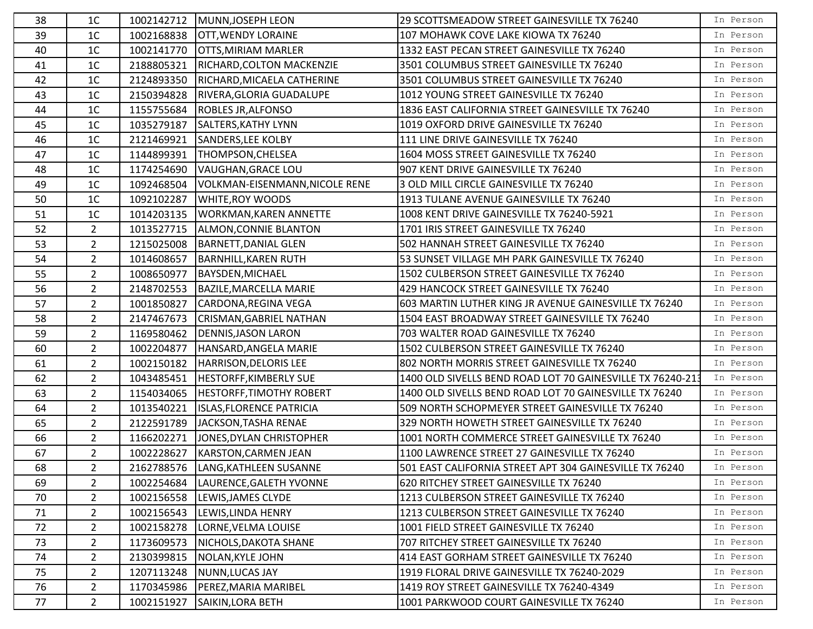| 38 | 1C             |            | 1002142712 MUNN, JOSEPH LEON        | 29 SCOTTSMEADOW STREET GAINESVILLE TX 76240                | In Person |
|----|----------------|------------|-------------------------------------|------------------------------------------------------------|-----------|
| 39 | 1 <sup>C</sup> |            | 1002168838 OTT, WENDY LORAINE       | 107 MOHAWK COVE LAKE KIOWA TX 76240                        | In Person |
| 40 | 1 <sup>C</sup> | 1002141770 | <b>OTTS, MIRIAM MARLER</b>          | 1332 EAST PECAN STREET GAINESVILLE TX 76240                | In Person |
| 41 | 1 <sup>C</sup> | 2188805321 | RICHARD, COLTON MACKENZIE           | 3501 COLUMBUS STREET GAINESVILLE TX 76240                  | In Person |
| 42 | 1 <sup>C</sup> | 2124893350 | RICHARD, MICAELA CATHERINE          | 3501 COLUMBUS STREET GAINESVILLE TX 76240                  | In Person |
| 43 | 1 <sup>C</sup> | 2150394828 | RIVERA, GLORIA GUADALUPE            | 1012 YOUNG STREET GAINESVILLE TX 76240                     | In Person |
| 44 | 1 <sup>C</sup> |            | 1155755684  ROBLES JR, ALFONSO      | 1836 EAST CALIFORNIA STREET GAINESVILLE TX 76240           | In Person |
| 45 | 1 <sup>C</sup> | 1035279187 | SALTERS, KATHY LYNN                 | 1019 OXFORD DRIVE GAINESVILLE TX 76240                     | In Person |
| 46 | 1 <sup>C</sup> | 2121469921 | SANDERS, LEE KOLBY                  | 111 LINE DRIVE GAINESVILLE TX 76240                        | In Person |
| 47 | 1 <sup>C</sup> | 1144899391 | THOMPSON, CHELSEA                   | 1604 MOSS STREET GAINESVILLE TX 76240                      | In Person |
| 48 | 1 <sup>C</sup> | 1174254690 | VAUGHAN, GRACE LOU                  | 907 KENT DRIVE GAINESVILLE TX 76240                        | In Person |
| 49 | 1 <sup>C</sup> | 1092468504 | VOLKMAN-EISENMANN, NICOLE RENE      | 3 OLD MILL CIRCLE GAINESVILLE TX 76240                     | In Person |
| 50 | 1 <sup>C</sup> | 1092102287 | <b>WHITE, ROY WOODS</b>             | 1913 TULANE AVENUE GAINESVILLE TX 76240                    | In Person |
| 51 | 1 <sup>C</sup> | 1014203135 | <b>WORKMAN, KAREN ANNETTE</b>       | 1008 KENT DRIVE GAINESVILLE TX 76240-5921                  | In Person |
| 52 | $2^{\circ}$    | 1013527715 | ALMON, CONNIE BLANTON               | 1701 IRIS STREET GAINESVILLE TX 76240                      | In Person |
| 53 | $2^{\circ}$    | 1215025008 | BARNETT, DANIAL GLEN                | 502 HANNAH STREET GAINESVILLE TX 76240                     | In Person |
| 54 | $2^{\circ}$    | 1014608657 | BARNHILL, KAREN RUTH                | 53 SUNSET VILLAGE MH PARK GAINESVILLE TX 76240             | In Person |
| 55 | $\overline{2}$ | 1008650977 | <b>BAYSDEN, MICHAEL</b>             | 1502 CULBERSON STREET GAINESVILLE TX 76240                 | In Person |
| 56 | $\overline{2}$ | 2148702553 | BAZILE, MARCELLA MARIE              | 429 HANCOCK STREET GAINESVILLE TX 76240                    | In Person |
| 57 | $2^{\circ}$    | 1001850827 | CARDONA, REGINA VEGA                | 603 MARTIN LUTHER KING JR AVENUE GAINESVILLE TX 76240      | In Person |
| 58 | $\overline{2}$ | 2147467673 | CRISMAN, GABRIEL NATHAN             | 1504 EAST BROADWAY STREET GAINESVILLE TX 76240             | In Person |
| 59 | $\overline{2}$ | 1169580462 | <b>DENNIS, JASON LARON</b>          | 703 WALTER ROAD GAINESVILLE TX 76240                       | In Person |
| 60 | $2^{\circ}$    | 1002204877 | HANSARD, ANGELA MARIE               | 1502 CULBERSON STREET GAINESVILLE TX 76240                 | In Person |
| 61 | $2^{\circ}$    | 1002150182 | HARRISON, DELORIS LEE               | 802 NORTH MORRIS STREET GAINESVILLE TX 76240               | In Person |
| 62 | $\overline{2}$ | 1043485451 | <b>HESTORFF, KIMBERLY SUE</b>       | 1400 OLD SIVELLS BEND ROAD LOT 70 GAINESVILLE TX 76240-213 | In Person |
| 63 | $\overline{2}$ | 1154034065 | <b>HESTORFF, TIMOTHY ROBERT</b>     | 1400 OLD SIVELLS BEND ROAD LOT 70 GAINESVILLE TX 76240     | In Person |
| 64 | $\overline{2}$ | 1013540221 | <b>ISLAS, FLORENCE PATRICIA</b>     | 509 NORTH SCHOPMEYER STREET GAINESVILLE TX 76240           | In Person |
| 65 | $\overline{2}$ | 2122591789 | JACKSON, TASHA RENAE                | 329 NORTH HOWETH STREET GAINESVILLE TX 76240               | In Person |
| 66 | $2^{\circ}$    | 1166202271 | JONES, DYLAN CHRISTOPHER            | 1001 NORTH COMMERCE STREET GAINESVILLE TX 76240            | In Person |
| 67 | $2^{\circ}$    | 1002228627 | KARSTON, CARMEN JEAN                | 1100 LAWRENCE STREET 27 GAINESVILLE TX 76240               | In Person |
| 68 | $\overline{2}$ |            | 2162788576  LANG, KATHLEEN SUSANNE  | 501 EAST CALIFORNIA STREET APT 304 GAINESVILLE TX 76240    | In Person |
| 69 | $\overline{2}$ |            | 1002254684  LAURENCE, GALETH YVONNE | 620 RITCHEY STREET GAINESVILLE TX 76240                    | In Person |
| 70 | $2^{\circ}$    |            | 1002156558 LEWIS, JAMES CLYDE       | 1213 CULBERSON STREET GAINESVILLE TX 76240                 | In Person |
| 71 | $\overline{2}$ | 1002156543 | LEWIS, LINDA HENRY                  | 1213 CULBERSON STREET GAINESVILLE TX 76240                 | In Person |
| 72 | $2^{\circ}$    | 1002158278 | LORNE, VELMA LOUISE                 | 1001 FIELD STREET GAINESVILLE TX 76240                     | In Person |
| 73 | $2^{\circ}$    | 1173609573 | NICHOLS, DAKOTA SHANE               | 707 RITCHEY STREET GAINESVILLE TX 76240                    | In Person |
| 74 | $\overline{2}$ | 2130399815 | NOLAN, KYLE JOHN                    | 414 EAST GORHAM STREET GAINESVILLE TX 76240                | In Person |
| 75 | $\overline{2}$ | 1207113248 | NUNN, LUCAS JAY                     | 1919 FLORAL DRIVE GAINESVILLE TX 76240-2029                | In Person |
| 76 | $\overline{2}$ | 1170345986 | <b>PEREZ, MARIA MARIBEL</b>         | 1419 ROY STREET GAINESVILLE TX 76240-4349                  | In Person |
| 77 | $2^{\circ}$    | 1002151927 | SAIKIN, LORA BETH                   | 1001 PARKWOOD COURT GAINESVILLE TX 76240                   | In Person |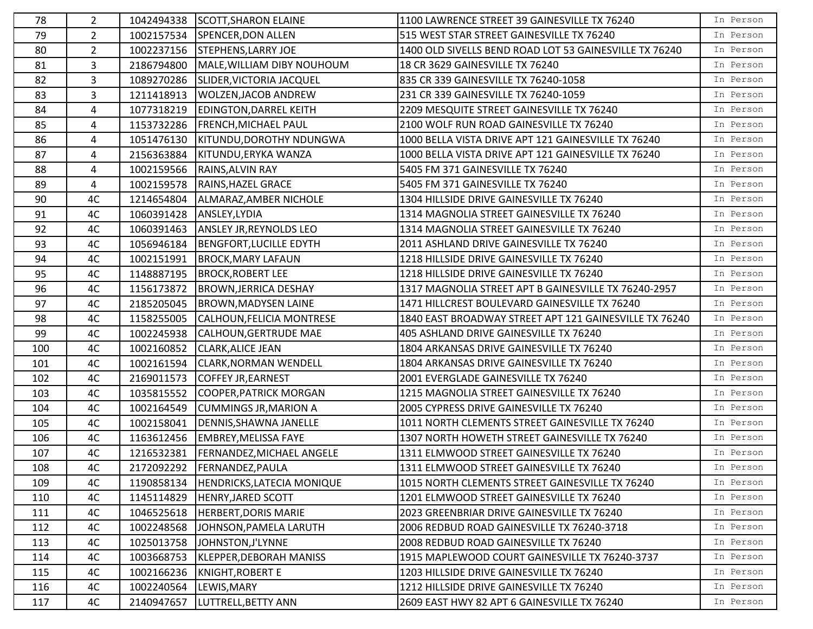| 78  | $\mathbf{2}$   |            | 1042494338 SCOTT, SHARON ELAINE  | 1100 LAWRENCE STREET 39 GAINESVILLE TX 76240           | In Person |
|-----|----------------|------------|----------------------------------|--------------------------------------------------------|-----------|
| 79  | $2^{\circ}$    | 1002157534 | SPENCER, DON ALLEN               | 515 WEST STAR STREET GAINESVILLE TX 76240              | In Person |
| 80  | $\overline{2}$ | 1002237156 | <b>STEPHENS, LARRY JOE</b>       | 1400 OLD SIVELLS BEND ROAD LOT 53 GAINESVILLE TX 76240 | In Person |
| 81  | $\mathbf{3}$   | 2186794800 | MALE, WILLIAM DIBY NOUHOUM       | 18 CR 3629 GAINESVILLE TX 76240                        | In Person |
| 82  | $\mathbf{3}$   | 1089270286 | SLIDER, VICTORIA JACQUEL         | 835 CR 339 GAINESVILLE TX 76240-1058                   | In Person |
| 83  | 3              | 1211418913 | <b>WOLZEN, JACOB ANDREW</b>      | 231 CR 339 GAINESVILLE TX 76240-1059                   | In Person |
| 84  | 4              | 1077318219 | <b>EDINGTON, DARREL KEITH</b>    | 2209 MESQUITE STREET GAINESVILLE TX 76240              | In Person |
| 85  | 4              | 1153732286 | <b>FRENCH, MICHAEL PAUL</b>      | 2100 WOLF RUN ROAD GAINESVILLE TX 76240                | In Person |
| 86  | 4              | 1051476130 | KITUNDU, DOROTHY NDUNGWA         | 1000 BELLA VISTA DRIVE APT 121 GAINESVILLE TX 76240    | In Person |
| 87  | 4              | 2156363884 | KITUNDU, ERYKA WANZA             | 1000 BELLA VISTA DRIVE APT 121 GAINESVILLE TX 76240    | In Person |
| 88  | 4              | 1002159566 | RAINS, ALVIN RAY                 | 5405 FM 371 GAINESVILLE TX 76240                       | In Person |
| 89  | 4              | 1002159578 | RAINS, HAZEL GRACE               | 5405 FM 371 GAINESVILLE TX 76240                       | In Person |
| 90  | 4C             | 1214654804 | ALMARAZ, AMBER NICHOLE           | 1304 HILLSIDE DRIVE GAINESVILLE TX 76240               | In Person |
| 91  | 4C             | 1060391428 | ANSLEY, LYDIA                    | 1314 MAGNOLIA STREET GAINESVILLE TX 76240              | In Person |
| 92  | 4C             | 1060391463 | <b>ANSLEY JR, REYNOLDS LEO</b>   | 1314 MAGNOLIA STREET GAINESVILLE TX 76240              | In Person |
| 93  | 4C             | 1056946184 | BENGFORT, LUCILLE EDYTH          | 2011 ASHLAND DRIVE GAINESVILLE TX 76240                | In Person |
| 94  | 4C             | 1002151991 | <b>BROCK, MARY LAFAUN</b>        | 1218 HILLSIDE DRIVE GAINESVILLE TX 76240               | In Person |
| 95  | 4C             | 1148887195 | <b>BROCK, ROBERT LEE</b>         | 1218 HILLSIDE DRIVE GAINESVILLE TX 76240               | In Person |
| 96  | 4C             | 1156173872 | <b>BROWN, JERRICA DESHAY</b>     | 1317 MAGNOLIA STREET APT B GAINESVILLE TX 76240-2957   | In Person |
| 97  | 4C             | 2185205045 | <b>BROWN, MADYSEN LAINE</b>      | 1471 HILLCREST BOULEVARD GAINESVILLE TX 76240          | In Person |
| 98  | 4C             | 1158255005 | CALHOUN, FELICIA MONTRESE        | 1840 EAST BROADWAY STREET APT 121 GAINESVILLE TX 76240 | In Person |
| 99  | 4C             | 1002245938 | CALHOUN, GERTRUDE MAE            | 405 ASHLAND DRIVE GAINESVILLE TX 76240                 | In Person |
| 100 | 4C             | 1002160852 | <b>CLARK, ALICE JEAN</b>         | 1804 ARKANSAS DRIVE GAINESVILLE TX 76240               | In Person |
| 101 | 4C             | 1002161594 | <b>CLARK, NORMAN WENDELL</b>     | 1804 ARKANSAS DRIVE GAINESVILLE TX 76240               | In Person |
| 102 | 4C             |            | 2169011573 COFFEY JR, EARNEST    | 2001 EVERGLADE GAINESVILLE TX 76240                    | In Person |
| 103 | 4C             | 1035815552 | COOPER, PATRICK MORGAN           | 1215 MAGNOLIA STREET GAINESVILLE TX 76240              | In Person |
| 104 | 4C             | 1002164549 | <b>CUMMINGS JR, MARION A</b>     | 2005 CYPRESS DRIVE GAINESVILLE TX 76240                | In Person |
| 105 | 4C             | 1002158041 | DENNIS, SHAWNA JANELLE           | 1011 NORTH CLEMENTS STREET GAINESVILLE TX 76240        | In Person |
| 106 | 4C             | 1163612456 | <b>EMBREY, MELISSA FAYE</b>      | 1307 NORTH HOWETH STREET GAINESVILLE TX 76240          | In Person |
| 107 | 4C             | 1216532381 | <b>FERNANDEZ, MICHAEL ANGELE</b> | 1311 ELMWOOD STREET GAINESVILLE TX 76240               | In Person |
| 108 | 4C             |            | 2172092292 FERNANDEZ, PAULA      | 1311 ELMWOOD STREET GAINESVILLE TX 76240               | In Person |
| 109 | 4C             | 1190858134 | HENDRICKS, LATECIA MONIQUE       | 1015 NORTH CLEMENTS STREET GAINESVILLE TX 76240        | In Person |
| 110 | 4C             | 1145114829 | HENRY, JARED SCOTT               | 1201 ELMWOOD STREET GAINESVILLE TX 76240               | In Person |
| 111 | 4C             | 1046525618 | HERBERT, DORIS MARIE             | 2023 GREENBRIAR DRIVE GAINESVILLE TX 76240             | In Person |
| 112 | 4C             | 1002248568 | JOHNSON, PAMELA LARUTH           | 2006 REDBUD ROAD GAINESVILLE TX 76240-3718             | In Person |
| 113 | 4C             | 1025013758 | JOHNSTON, J'LYNNE                | 2008 REDBUD ROAD GAINESVILLE TX 76240                  | In Person |
| 114 | 4C             | 1003668753 | KLEPPER, DEBORAH MANISS          | 1915 MAPLEWOOD COURT GAINESVILLE TX 76240-3737         | In Person |
| 115 | 4C             | 1002166236 | KNIGHT, ROBERT E                 | 1203 HILLSIDE DRIVE GAINESVILLE TX 76240               | In Person |
| 116 | 4C             | 1002240564 | LEWIS, MARY                      | 1212 HILLSIDE DRIVE GAINESVILLE TX 76240               | In Person |
| 117 | 4C             | 2140947657 | LUTTRELL, BETTY ANN              | 2609 EAST HWY 82 APT 6 GAINESVILLE TX 76240            | In Person |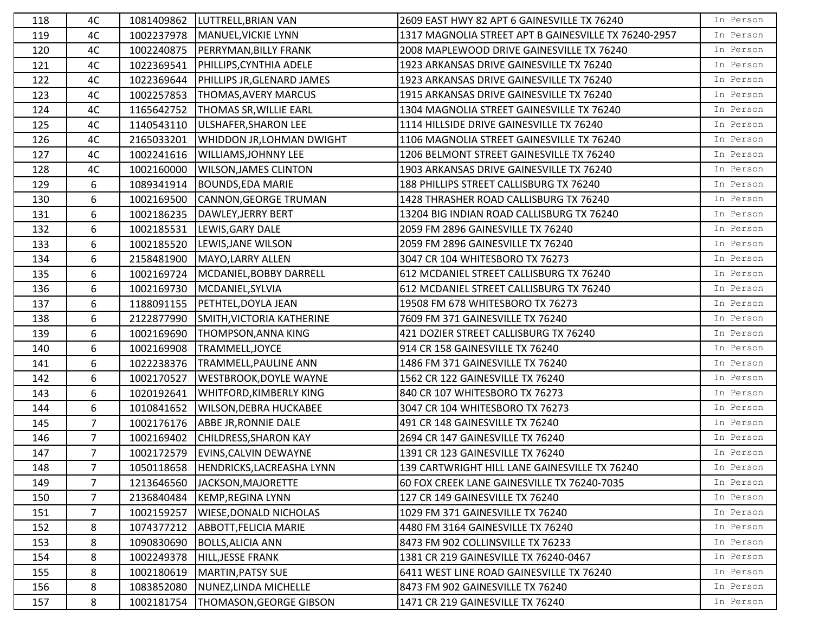| 118 | 4C             |            | 1081409862  LUTTRELL, BRIAN VAN       | 2609 EAST HWY 82 APT 6 GAINESVILLE TX 76240          | In Person |
|-----|----------------|------------|---------------------------------------|------------------------------------------------------|-----------|
| 119 | 4C             | 1002237978 | MANUEL, VICKIE LYNN                   | 1317 MAGNOLIA STREET APT B GAINESVILLE TX 76240-2957 | In Person |
| 120 | 4C             | 1002240875 | <b>PERRYMAN, BILLY FRANK</b>          | 2008 MAPLEWOOD DRIVE GAINESVILLE TX 76240            | In Person |
| 121 | 4C             | 1022369541 | PHILLIPS, CYNTHIA ADELE               | 1923 ARKANSAS DRIVE GAINESVILLE TX 76240             | In Person |
| 122 | 4C             | 1022369644 | <b>PHILLIPS JR, GLENARD JAMES</b>     | 1923 ARKANSAS DRIVE GAINESVILLE TX 76240             | In Person |
| 123 | 4C             | 1002257853 | <b>THOMAS, AVERY MARCUS</b>           | 1915 ARKANSAS DRIVE GAINESVILLE TX 76240             | In Person |
| 124 | 4C             | 1165642752 | <b>THOMAS SR, WILLIE EARL</b>         | 1304 MAGNOLIA STREET GAINESVILLE TX 76240            | In Person |
| 125 | 4C             | 1140543110 | ULSHAFER, SHARON LEE                  | 1114 HILLSIDE DRIVE GAINESVILLE TX 76240             | In Person |
| 126 | 4C             | 2165033201 | WHIDDON JR, LOHMAN DWIGHT             | 1106 MAGNOLIA STREET GAINESVILLE TX 76240            | In Person |
| 127 | 4C             | 1002241616 | <b>WILLIAMS, JOHNNY LEE</b>           | 1206 BELMONT STREET GAINESVILLE TX 76240             | In Person |
| 128 | 4C             | 1002160000 | <b>WILSON, JAMES CLINTON</b>          | 1903 ARKANSAS DRIVE GAINESVILLE TX 76240             | In Person |
| 129 | 6              | 1089341914 | <b>BOUNDS, EDA MARIE</b>              | 188 PHILLIPS STREET CALLISBURG TX 76240              | In Person |
| 130 | 6              | 1002169500 | CANNON, GEORGE TRUMAN                 | 1428 THRASHER ROAD CALLISBURG TX 76240               | In Person |
| 131 | 6              | 1002186235 | DAWLEY, JERRY BERT                    | 13204 BIG INDIAN ROAD CALLISBURG TX 76240            | In Person |
| 132 | 6              | 1002185531 | LEWIS, GARY DALE                      | 2059 FM 2896 GAINESVILLE TX 76240                    | In Person |
| 133 | 6              | 1002185520 | LEWIS, JANE WILSON                    | 2059 FM 2896 GAINESVILLE TX 76240                    | In Person |
| 134 | 6              | 2158481900 | MAYO, LARRY ALLEN                     | 3047 CR 104 WHITESBORO TX 76273                      | In Person |
| 135 | 6              | 1002169724 | MCDANIEL, BOBBY DARRELL               | 612 MCDANIEL STREET CALLISBURG TX 76240              | In Person |
| 136 | 6              | 1002169730 | MCDANIEL, SYLVIA                      | 612 MCDANIEL STREET CALLISBURG TX 76240              | In Person |
| 137 | 6              | 1188091155 | <b>PETHTEL, DOYLA JEAN</b>            | 19508 FM 678 WHITESBORO TX 76273                     | In Person |
| 138 | 6              | 2122877990 | SMITH, VICTORIA KATHERINE             | 7609 FM 371 GAINESVILLE TX 76240                     | In Person |
| 139 | 6              | 1002169690 | <b>THOMPSON, ANNA KING</b>            | 421 DOZIER STREET CALLISBURG TX 76240                | In Person |
| 140 | 6              | 1002169908 | TRAMMELL, JOYCE                       | 914 CR 158 GAINESVILLE TX 76240                      | In Person |
| 141 | 6              | 1022238376 | TRAMMELL, PAULINE ANN                 | 1486 FM 371 GAINESVILLE TX 76240                     | In Person |
| 142 | 6              | 1002170527 | <b>WESTBROOK, DOYLE WAYNE</b>         | 1562 CR 122 GAINESVILLE TX 76240                     | In Person |
| 143 | 6              | 1020192641 | <b>WHITFORD, KIMBERLY KING</b>        | 840 CR 107 WHITESBORO TX 76273                       | In Person |
| 144 | 6              | 1010841652 | <b>WILSON, DEBRA HUCKABEE</b>         | 3047 CR 104 WHITESBORO TX 76273                      | In Person |
| 145 | $\overline{7}$ | 1002176176 | ABBE JR, RONNIE DALE                  | 491 CR 148 GAINESVILLE TX 76240                      | In Person |
| 146 | $\overline{7}$ | 1002169402 | <b>CHILDRESS, SHARON KAY</b>          | 2694 CR 147 GAINESVILLE TX 76240                     | In Person |
| 147 | 7 <sup>1</sup> | 1002172579 | EVINS, CALVIN DEWAYNE                 | 1391 CR 123 GAINESVILLE TX 76240                     | In Person |
| 148 | $\overline{7}$ |            | 1050118658  HENDRICKS, LACREASHA LYNN | 139 CARTWRIGHT HILL LANE GAINESVILLE TX 76240        | In Person |
| 149 | 7              | 1213646560 | JACKSON, MAJORETTE                    | 60 FOX CREEK LANE GAINESVILLE TX 76240-7035          | In Person |
| 150 | $\overline{7}$ | 2136840484 | KEMP, REGINA LYNN                     | 127 CR 149 GAINESVILLE TX 76240                      | In Person |
| 151 | $\overline{7}$ | 1002159257 | <b>WIESE, DONALD NICHOLAS</b>         | 1029 FM 371 GAINESVILLE TX 76240                     | In Person |
| 152 | 8              | 1074377212 | <b>ABBOTT, FELICIA MARIE</b>          | 4480 FM 3164 GAINESVILLE TX 76240                    | In Person |
| 153 | 8              | 1090830690 | <b>BOLLS, ALICIA ANN</b>              | 8473 FM 902 COLLINSVILLE TX 76233                    | In Person |
| 154 | 8              | 1002249378 | HILL, JESSE FRANK                     | 1381 CR 219 GAINESVILLE TX 76240-0467                | In Person |
| 155 | 8              | 1002180619 | MARTIN, PATSY SUE                     | 6411 WEST LINE ROAD GAINESVILLE TX 76240             | In Person |
| 156 | 8              | 1083852080 | NUNEZ, LINDA MICHELLE                 | 8473 FM 902 GAINESVILLE TX 76240                     | In Person |
| 157 | 8              | 1002181754 | <b>THOMASON, GEORGE GIBSON</b>        | 1471 CR 219 GAINESVILLE TX 76240                     | In Person |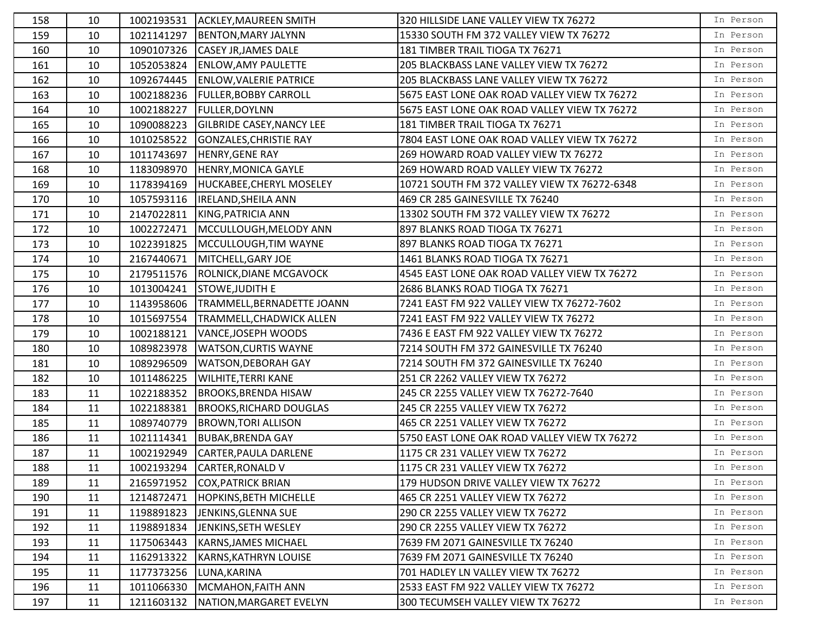| 158 | 10 | 1002193531 | ACKLEY, MAUREEN SMITH            | 320 HILLSIDE LANE VALLEY VIEW TX 76272       | In Person |
|-----|----|------------|----------------------------------|----------------------------------------------|-----------|
| 159 | 10 | 1021141297 | <b>BENTON, MARY JALYNN</b>       | 15330 SOUTH FM 372 VALLEY VIEW TX 76272      | In Person |
| 160 | 10 | 1090107326 | <b>CASEY JR, JAMES DALE</b>      | 181 TIMBER TRAIL TIOGA TX 76271              | In Person |
| 161 | 10 | 1052053824 | <b>ENLOW, AMY PAULETTE</b>       | 205 BLACKBASS LANE VALLEY VIEW TX 76272      | In Person |
| 162 | 10 | 1092674445 | <b>ENLOW, VALERIE PATRICE</b>    | 205 BLACKBASS LANE VALLEY VIEW TX 76272      | In Person |
| 163 | 10 | 1002188236 | <b>FULLER, BOBBY CARROLL</b>     | 5675 EAST LONE OAK ROAD VALLEY VIEW TX 76272 | In Person |
| 164 | 10 | 1002188227 | <b>FULLER, DOYLNN</b>            | 5675 EAST LONE OAK ROAD VALLEY VIEW TX 76272 | In Person |
| 165 | 10 | 1090088223 | <b>GILBRIDE CASEY, NANCY LEE</b> | 181 TIMBER TRAIL TIOGA TX 76271              | In Person |
| 166 | 10 | 1010258522 | GONZALES, CHRISTIE RAY           | 7804 EAST LONE OAK ROAD VALLEY VIEW TX 76272 | In Person |
| 167 | 10 | 1011743697 | HENRY, GENE RAY                  | 269 HOWARD ROAD VALLEY VIEW TX 76272         | In Person |
| 168 | 10 | 1183098970 | <b>HENRY, MONICA GAYLE</b>       | 269 HOWARD ROAD VALLEY VIEW TX 76272         | In Person |
| 169 | 10 | 1178394169 | HUCKABEE, CHERYL MOSELEY         | 10721 SOUTH FM 372 VALLEY VIEW TX 76272-6348 | In Person |
| 170 | 10 | 1057593116 | <b>IRELAND, SHEILA ANN</b>       | 469 CR 285 GAINESVILLE TX 76240              | In Person |
| 171 | 10 | 2147022811 | KING, PATRICIA ANN               | 13302 SOUTH FM 372 VALLEY VIEW TX 76272      | In Person |
| 172 | 10 | 1002272471 | MCCULLOUGH, MELODY ANN           | 897 BLANKS ROAD TIOGA TX 76271               | In Person |
| 173 | 10 | 1022391825 | MCCULLOUGH, TIM WAYNE            | 897 BLANKS ROAD TIOGA TX 76271               | In Person |
| 174 | 10 | 2167440671 | MITCHELL, GARY JOE               | 1461 BLANKS ROAD TIOGA TX 76271              | In Person |
| 175 | 10 | 2179511576 | <b>ROLNICK, DIANE MCGAVOCK</b>   | 4545 EAST LONE OAK ROAD VALLEY VIEW TX 76272 | In Person |
| 176 | 10 | 1013004241 | <b>STOWE, JUDITH E</b>           | 2686 BLANKS ROAD TIOGA TX 76271              | In Person |
| 177 | 10 | 1143958606 | TRAMMELL, BERNADETTE JOANN       | 7241 EAST FM 922 VALLEY VIEW TX 76272-7602   | In Person |
| 178 | 10 | 1015697554 | <b>TRAMMELL, CHADWICK ALLEN</b>  | 7241 EAST FM 922 VALLEY VIEW TX 76272        | In Person |
| 179 | 10 | 1002188121 | VANCE, JOSEPH WOODS              | 7436 E EAST FM 922 VALLEY VIEW TX 76272      | In Person |
| 180 | 10 | 1089823978 | <b>WATSON, CURTIS WAYNE</b>      | 7214 SOUTH FM 372 GAINESVILLE TX 76240       | In Person |
| 181 | 10 | 1089296509 | <b>WATSON, DEBORAH GAY</b>       | 7214 SOUTH FM 372 GAINESVILLE TX 76240       | In Person |
| 182 | 10 | 1011486225 | <b>WILHITE, TERRI KANE</b>       | 251 CR 2262 VALLEY VIEW TX 76272             | In Person |
| 183 | 11 | 1022188352 | <b>BROOKS, BRENDA HISAW</b>      | 245 CR 2255 VALLEY VIEW TX 76272-7640        | In Person |
| 184 | 11 | 1022188381 | <b>BROOKS, RICHARD DOUGLAS</b>   | 245 CR 2255 VALLEY VIEW TX 76272             | In Person |
| 185 | 11 | 1089740779 | <b>BROWN, TORI ALLISON</b>       | 465 CR 2251 VALLEY VIEW TX 76272             | In Person |
| 186 | 11 | 1021114341 | <b>BUBAK, BRENDA GAY</b>         | 5750 EAST LONE OAK ROAD VALLEY VIEW TX 76272 | In Person |
| 187 | 11 | 1002192949 | CARTER, PAULA DARLENE            | 1175 CR 231 VALLEY VIEW TX 76272             | In Person |
| 188 | 11 | 1002193294 | CARTER, RONALD V                 | 1175 CR 231 VALLEY VIEW TX 76272             | In Person |
| 189 | 11 | 2165971952 | <b>COX, PATRICK BRIAN</b>        | 179 HUDSON DRIVE VALLEY VIEW TX 76272        | In Person |
| 190 | 11 | 1214872471 | <b>HOPKINS, BETH MICHELLE</b>    | 465 CR 2251 VALLEY VIEW TX 76272             | In Person |
| 191 | 11 | 1198891823 | JENKINS, GLENNA SUE              | 290 CR 2255 VALLEY VIEW TX 76272             | In Person |
| 192 | 11 | 1198891834 | JENKINS, SETH WESLEY             | 290 CR 2255 VALLEY VIEW TX 76272             | In Person |
| 193 | 11 | 1175063443 | <b>KARNS, JAMES MICHAEL</b>      | 7639 FM 2071 GAINESVILLE TX 76240            | In Person |
| 194 | 11 | 1162913322 | <b>KARNS, KATHRYN LOUISE</b>     | 7639 FM 2071 GAINESVILLE TX 76240            | In Person |
| 195 | 11 | 1177373256 | LUNA, KARINA                     | 701 HADLEY LN VALLEY VIEW TX 76272           | In Person |
| 196 | 11 | 1011066330 | MCMAHON, FAITH ANN               | 2533 EAST FM 922 VALLEY VIEW TX 76272        | In Person |
| 197 | 11 | 1211603132 | NATION, MARGARET EVELYN          | 300 TECUMSEH VALLEY VIEW TX 76272            | In Person |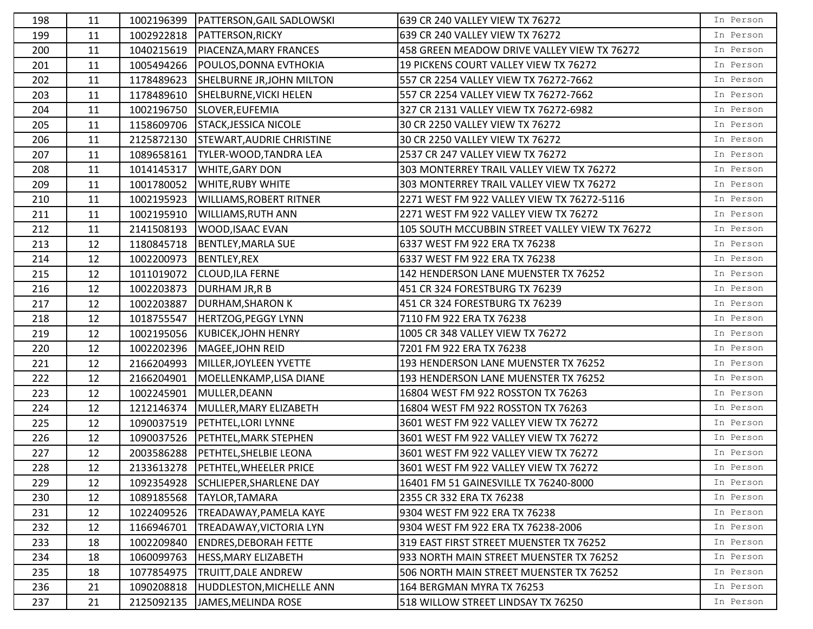| 198 | 11 |            | 1002196399   PATTERSON, GAIL SADLOWSKI | 639 CR 240 VALLEY VIEW TX 76272                | In Person |
|-----|----|------------|----------------------------------------|------------------------------------------------|-----------|
| 199 | 11 | 1002922818 | <b>PATTERSON, RICKY</b>                | 639 CR 240 VALLEY VIEW TX 76272                | In Person |
| 200 | 11 | 1040215619 | PIACENZA, MARY FRANCES                 | 458 GREEN MEADOW DRIVE VALLEY VIEW TX 76272    | In Person |
| 201 | 11 | 1005494266 | POULOS, DONNA EVTHOKIA                 | 19 PICKENS COURT VALLEY VIEW TX 76272          | In Person |
| 202 | 11 | 1178489623 | <b>SHELBURNE JR, JOHN MILTON</b>       | 557 CR 2254 VALLEY VIEW TX 76272-7662          | In Person |
| 203 | 11 | 1178489610 | SHELBURNE, VICKI HELEN                 | 557 CR 2254 VALLEY VIEW TX 76272-7662          | In Person |
| 204 | 11 | 1002196750 | SLOVER, EUFEMIA                        | 327 CR 2131 VALLEY VIEW TX 76272-6982          | In Person |
| 205 | 11 | 1158609706 | <b>STACK, JESSICA NICOLE</b>           | 30 CR 2250 VALLEY VIEW TX 76272                | In Person |
| 206 | 11 | 2125872130 | <b>STEWART, AUDRIE CHRISTINE</b>       | 30 CR 2250 VALLEY VIEW TX 76272                | In Person |
| 207 | 11 | 1089658161 | TYLER-WOOD, TANDRA LEA                 | 2537 CR 247 VALLEY VIEW TX 76272               | In Person |
| 208 | 11 | 1014145317 | <b>WHITE, GARY DON</b>                 | 303 MONTERREY TRAIL VALLEY VIEW TX 76272       | In Person |
| 209 | 11 | 1001780052 | <b>WHITE, RUBY WHITE</b>               | 303 MONTERREY TRAIL VALLEY VIEW TX 76272       | In Person |
| 210 | 11 | 1002195923 | <b>WILLIAMS, ROBERT RITNER</b>         | 2271 WEST FM 922 VALLEY VIEW TX 76272-5116     | In Person |
| 211 | 11 | 1002195910 | <b>WILLIAMS, RUTH ANN</b>              | 2271 WEST FM 922 VALLEY VIEW TX 76272          | In Person |
| 212 | 11 | 2141508193 | WOOD, ISAAC EVAN                       | 105 SOUTH MCCUBBIN STREET VALLEY VIEW TX 76272 | In Person |
| 213 | 12 | 1180845718 | <b>BENTLEY, MARLA SUE</b>              | 6337 WEST FM 922 ERA TX 76238                  | In Person |
| 214 | 12 | 1002200973 | BENTLEY, REX                           | 6337 WEST FM 922 ERA TX 76238                  | In Person |
| 215 | 12 | 1011019072 | <b>CLOUD, ILA FERNE</b>                | 142 HENDERSON LANE MUENSTER TX 76252           | In Person |
| 216 | 12 | 1002203873 | <b>DURHAM JR, R B</b>                  | 451 CR 324 FORESTBURG TX 76239                 | In Person |
| 217 | 12 | 1002203887 | <b>DURHAM, SHARON K</b>                | 451 CR 324 FORESTBURG TX 76239                 | In Person |
| 218 | 12 | 1018755547 | <b>HERTZOG, PEGGY LYNN</b>             | 7110 FM 922 ERA TX 76238                       | In Person |
| 219 | 12 | 1002195056 | <b>KUBICEK, JOHN HENRY</b>             | 1005 CR 348 VALLEY VIEW TX 76272               | In Person |
| 220 | 12 | 1002202396 | MAGEE, JOHN REID                       | 7201 FM 922 ERA TX 76238                       | In Person |
| 221 | 12 | 2166204993 | MILLER, JOYLEEN YVETTE                 | 193 HENDERSON LANE MUENSTER TX 76252           | In Person |
| 222 | 12 | 2166204901 | MOELLENKAMP, LISA DIANE                | 193 HENDERSON LANE MUENSTER TX 76252           | In Person |
| 223 | 12 | 1002245901 | MULLER, DEANN                          | 16804 WEST FM 922 ROSSTON TX 76263             | In Person |
| 224 | 12 | 1212146374 | MULLER, MARY ELIZABETH                 | 16804 WEST FM 922 ROSSTON TX 76263             | In Person |
| 225 | 12 | 1090037519 | <b>PETHTEL, LORI LYNNE</b>             | 3601 WEST FM 922 VALLEY VIEW TX 76272          | In Person |
| 226 | 12 | 1090037526 | <b>PETHTEL, MARK STEPHEN</b>           | 3601 WEST FM 922 VALLEY VIEW TX 76272          | In Person |
| 227 | 12 | 2003586288 | <b>PETHTEL, SHELBIE LEONA</b>          | 3601 WEST FM 922 VALLEY VIEW TX 76272          | In Person |
| 228 | 12 |            | 2133613278   PETHTEL, WHEELER PRICE    | 3601 WEST FM 922 VALLEY VIEW TX 76272          | In Person |
| 229 | 12 | 1092354928 | SCHLIEPER, SHARLENE DAY                | 16401 FM 51 GAINESVILLE TX 76240-8000          | In Person |
| 230 | 12 | 1089185568 | <b>TAYLOR, TAMARA</b>                  | 2355 CR 332 ERA TX 76238                       | In Person |
| 231 | 12 | 1022409526 | TREADAWAY, PAMELA KAYE                 | 9304 WEST FM 922 ERA TX 76238                  | In Person |
| 232 | 12 | 1166946701 | TREADAWAY, VICTORIA LYN                | 9304 WEST FM 922 ERA TX 76238-2006             | In Person |
| 233 | 18 | 1002209840 | <b>ENDRES, DEBORAH FETTE</b>           | 319 EAST FIRST STREET MUENSTER TX 76252        | In Person |
| 234 | 18 | 1060099763 | <b>HESS, MARY ELIZABETH</b>            | 933 NORTH MAIN STREET MUENSTER TX 76252        | In Person |
| 235 | 18 | 1077854975 | <b>TRUITT, DALE ANDREW</b>             | 506 NORTH MAIN STREET MUENSTER TX 76252        | In Person |
| 236 | 21 | 1090208818 | <b>HUDDLESTON, MICHELLE ANN</b>        | 164 BERGMAN MYRA TX 76253                      | In Person |
| 237 | 21 | 2125092135 | JAMES, MELINDA ROSE                    | 518 WILLOW STREET LINDSAY TX 76250             | In Person |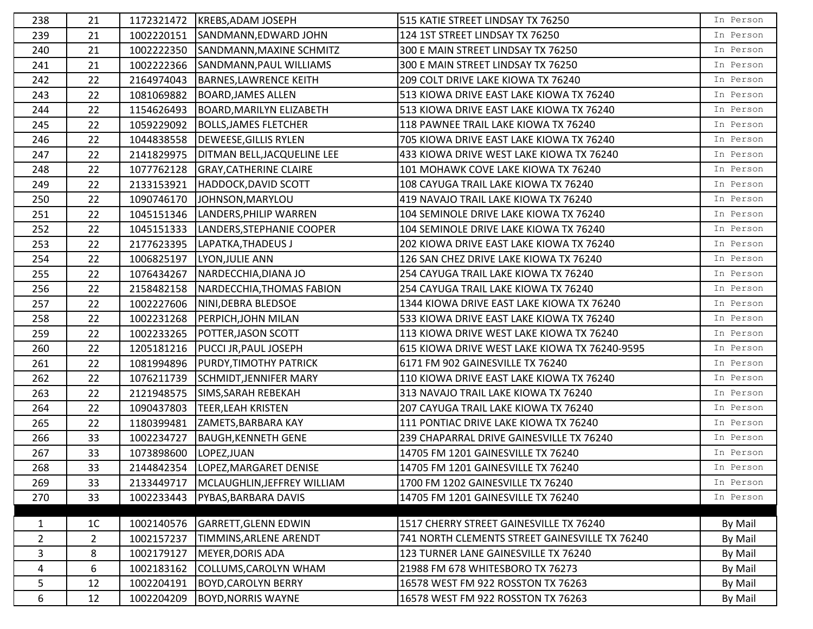| 238            | 21             |            | 1172321472   KREBS, ADAM JOSEPH    | 515 KATIE STREET LINDSAY TX 76250              | In Person |
|----------------|----------------|------------|------------------------------------|------------------------------------------------|-----------|
| 239            | 21             | 1002220151 | SANDMANN, EDWARD JOHN              | 124 1ST STREET LINDSAY TX 76250                | In Person |
| 240            | 21             | 1002222350 | SANDMANN, MAXINE SCHMITZ           | 300 E MAIN STREET LINDSAY TX 76250             | In Person |
| 241            | 21             | 1002222366 | SANDMANN, PAUL WILLIAMS            | 300 E MAIN STREET LINDSAY TX 76250             | In Person |
| 242            | 22             | 2164974043 | <b>BARNES, LAWRENCE KEITH</b>      | 209 COLT DRIVE LAKE KIOWA TX 76240             | In Person |
| 243            | 22             | 1081069882 | <b>BOARD, JAMES ALLEN</b>          | 513 KIOWA DRIVE EAST LAKE KIOWA TX 76240       | In Person |
| 244            | 22             | 1154626493 | BOARD, MARILYN ELIZABETH           | 513 KIOWA DRIVE EAST LAKE KIOWA TX 76240       | In Person |
| 245            | 22             | 1059229092 | <b>BOLLS, JAMES FLETCHER</b>       | 118 PAWNEE TRAIL LAKE KIOWA TX 76240           | In Person |
| 246            | 22             | 1044838558 | <b>DEWEESE, GILLIS RYLEN</b>       | 705 KIOWA DRIVE EAST LAKE KIOWA TX 76240       | In Person |
| 247            | 22             | 2141829975 | <b>DITMAN BELL, JACQUELINE LEE</b> | 433 KIOWA DRIVE WEST LAKE KIOWA TX 76240       | In Person |
| 248            | 22             | 1077762128 | <b>GRAY, CATHERINE CLAIRE</b>      | 101 MOHAWK COVE LAKE KIOWA TX 76240            | In Person |
| 249            | 22             | 2133153921 | <b>HADDOCK, DAVID SCOTT</b>        | 108 CAYUGA TRAIL LAKE KIOWA TX 76240           | In Person |
| 250            | 22             | 1090746170 | JOHNSON, MARYLOU                   | 419 NAVAJO TRAIL LAKE KIOWA TX 76240           | In Person |
| 251            | 22             | 1045151346 | LANDERS, PHILIP WARREN             | 104 SEMINOLE DRIVE LAKE KIOWA TX 76240         | In Person |
| 252            | 22             | 1045151333 | LANDERS, STEPHANIE COOPER          | 104 SEMINOLE DRIVE LAKE KIOWA TX 76240         | In Person |
| 253            | 22             | 2177623395 | LAPATKA, THADEUS J                 | 202 KIOWA DRIVE EAST LAKE KIOWA TX 76240       | In Person |
| 254            | 22             | 1006825197 | LYON, JULIE ANN                    | 126 SAN CHEZ DRIVE LAKE KIOWA TX 76240         | In Person |
| 255            | 22             | 1076434267 | NARDECCHIA, DIANA JO               | 254 CAYUGA TRAIL LAKE KIOWA TX 76240           | In Person |
| 256            | 22             | 2158482158 | NARDECCHIA, THOMAS FABION          | 254 CAYUGA TRAIL LAKE KIOWA TX 76240           | In Person |
| 257            | 22             | 1002227606 | NINI, DEBRA BLEDSOE                | 1344 KIOWA DRIVE EAST LAKE KIOWA TX 76240      | In Person |
| 258            | 22             | 1002231268 | <b>PERPICH, JOHN MILAN</b>         | 533 KIOWA DRIVE EAST LAKE KIOWA TX 76240       | In Person |
| 259            | 22             | 1002233265 | <b>POTTER, JASON SCOTT</b>         | 113 KIOWA DRIVE WEST LAKE KIOWA TX 76240       | In Person |
| 260            | 22             | 1205181216 | <b>PUCCI JR, PAUL JOSEPH</b>       | 615 KIOWA DRIVE WEST LAKE KIOWA TX 76240-9595  | In Person |
| 261            | 22             | 1081994896 | <b>PURDY, TIMOTHY PATRICK</b>      | 6171 FM 902 GAINESVILLE TX 76240               | In Person |
| 262            | 22             | 1076211739 | <b>SCHMIDT, JENNIFER MARY</b>      | 110 KIOWA DRIVE EAST LAKE KIOWA TX 76240       | In Person |
| 263            | 22             | 2121948575 | SIMS, SARAH REBEKAH                | 313 NAVAJO TRAIL LAKE KIOWA TX 76240           | In Person |
| 264            | 22             | 1090437803 | <b>TEER, LEAH KRISTEN</b>          | 207 CAYUGA TRAIL LAKE KIOWA TX 76240           | In Person |
| 265            | 22             | 1180399481 | ZAMETS, BARBARA KAY                | 111 PONTIAC DRIVE LAKE KIOWA TX 76240          | In Person |
| 266            | 33             | 1002234727 | <b>BAUGH, KENNETH GENE</b>         | 239 CHAPARRAL DRIVE GAINESVILLE TX 76240       | In Person |
| 267            | 33             | 1073898600 | LOPEZ, JUAN                        | 14705 FM 1201 GAINESVILLE TX 76240             | In Person |
| 268            | 33             |            | 2144842354  LOPEZ, MARGARET DENISE | 14705 FM 1201 GAINESVILLE TX 76240             | In Person |
| 269            | 33             | 2133449717 | MCLAUGHLIN, JEFFREY WILLIAM        | 1700 FM 1202 GAINESVILLE TX 76240              | In Person |
| 270            | 33             | 1002233443 | PYBAS, BARBARA DAVIS               | 14705 FM 1201 GAINESVILLE TX 76240             | In Person |
|                |                |            |                                    |                                                |           |
| $\mathbf{1}$   | 1 <sup>C</sup> | 1002140576 | <b>GARRETT, GLENN EDWIN</b>        | 1517 CHERRY STREET GAINESVILLE TX 76240        | By Mail   |
| $\overline{2}$ | $\overline{2}$ | 1002157237 | <b>TIMMINS, ARLENE ARENDT</b>      | 741 NORTH CLEMENTS STREET GAINESVILLE TX 76240 | By Mail   |
| 3              | 8              | 1002179127 | MEYER, DORIS ADA                   | 123 TURNER LANE GAINESVILLE TX 76240           | By Mail   |
| 4              | 6              | 1002183162 | COLLUMS, CAROLYN WHAM              | 21988 FM 678 WHITESBORO TX 76273               | By Mail   |
| 5              | 12             | 1002204191 | <b>BOYD, CAROLYN BERRY</b>         | 16578 WEST FM 922 ROSSTON TX 76263             | By Mail   |
| 6              | 12             | 1002204209 | <b>BOYD, NORRIS WAYNE</b>          | 16578 WEST FM 922 ROSSTON TX 76263             | By Mail   |